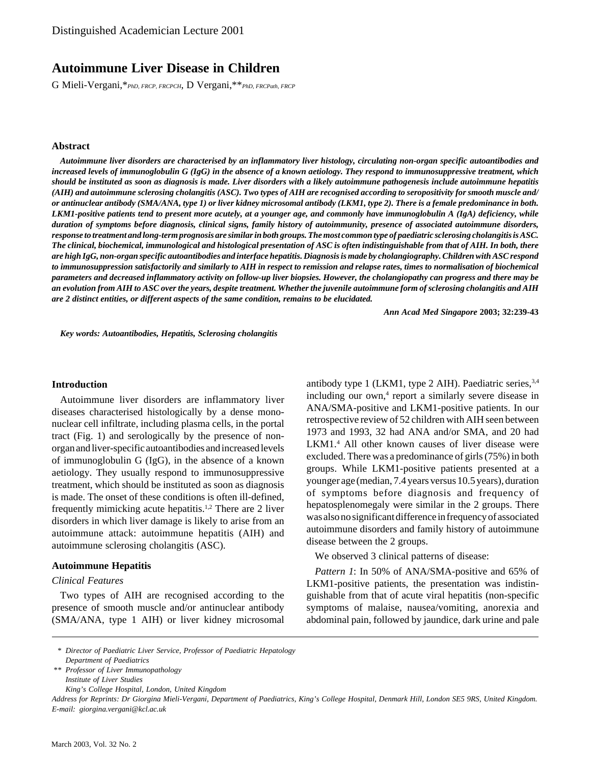# **Autoimmune Liver Disease in Children**

G Mieli-Vergani,\**PhD, FRCP, FRCPCH*, D Vergani,\*\**PhD, FRCPath, FRCP*

### **Abstract**

*Autoimmune liver disorders are characterised by an inflammatory liver histology, circulating non-organ specific autoantibodies and increased levels of immunoglobulin G (IgG) in the absence of a known aetiology. They respond to immunosuppressive treatment, which should be instituted as soon as diagnosis is made. Liver disorders with a likely autoimmune pathogenesis include autoimmune hepatitis (AIH) and autoimmune sclerosing cholangitis (ASC). Two types of AIH are recognised according to seropositivity for smooth muscle and/ or antinuclear antibody (SMA/ANA, type 1) or liver kidney microsomal antibody (LKM1, type 2). There is a female predominance in both. LKM1-positive patients tend to present more acutely, at a younger age, and commonly have immunoglobulin A (IgA) deficiency, while duration of symptoms before diagnosis, clinical signs, family history of autoimmunity, presence of associated autoimmune disorders, response to treatment and long-term prognosis are similar in both groups. The most common type of paediatric sclerosing cholangitis is ASC. The clinical, biochemical, immunological and histological presentation of ASC is often indistinguishable from that of AIH. In both, there are high IgG, non-organ specific autoantibodies and interface hepatitis. Diagnosis is made by cholangiography. Children with ASC respond to immunosuppression satisfactorily and similarly to AIH in respect to remission and relapse rates, times to normalisation of biochemical parameters and decreased inflammatory activity on follow-up liver biopsies. However, the cholangiopathy can progress and there may be an evolution from AIH to ASC over the years, despite treatment. Whether the juvenile autoimmune form of sclerosing cholangitis and AIH are 2 distinct entities, or different aspects of the same condition, remains to be elucidated.*

*Ann Acad Med Singapore* **2003; 32:239-43**

*Key words: Autoantibodies, Hepatitis, Sclerosing cholangitis*

#### **Introduction**

Autoimmune liver disorders are inflammatory liver diseases characterised histologically by a dense mononuclear cell infiltrate, including plasma cells, in the portal tract (Fig. 1) and serologically by the presence of nonorgan and liver-specific autoantibodies and increased levels of immunoglobulin G (IgG), in the absence of a known aetiology. They usually respond to immunosuppressive treatment, which should be instituted as soon as diagnosis is made. The onset of these conditions is often ill-defined, frequently mimicking acute hepatitis.1,2 There are 2 liver disorders in which liver damage is likely to arise from an autoimmune attack: autoimmune hepatitis (AIH) and autoimmune sclerosing cholangitis (ASC).

#### **Autoimmune Hepatitis**

# *Clinical Features*

Two types of AIH are recognised according to the presence of smooth muscle and/or antinuclear antibody (SMA/ANA, type 1 AIH) or liver kidney microsomal

antibody type 1 (LKM1, type 2 AIH). Paediatric series,  $3,4$ including our own,<sup>4</sup> report a similarly severe disease in ANA/SMA-positive and LKM1-positive patients. In our retrospective review of 52 children with AIH seen between 1973 and 1993, 32 had ANA and/or SMA, and 20 had LKM1.<sup>4</sup> All other known causes of liver disease were excluded. There was a predominance of girls (75%) in both groups. While LKM1-positive patients presented at a younger age (median, 7.4 years versus 10.5 years), duration of symptoms before diagnosis and frequency of hepatosplenomegaly were similar in the 2 groups. There was also no significant difference in frequency of associated autoimmune disorders and family history of autoimmune disease between the 2 groups.

We observed 3 clinical patterns of disease:

*Pattern 1*: In 50% of ANA/SMA-positive and 65% of LKM1-positive patients, the presentation was indistinguishable from that of acute viral hepatitis (non-specific symptoms of malaise, nausea/vomiting, anorexia and abdominal pain, followed by jaundice, dark urine and pale

*King's College Hospital, London, United Kingdom*

*Address for Reprints: Dr Giorgina Mieli-Vergani, Department of Paediatrics, King's College Hospital, Denmark Hill, London SE5 9RS, United Kingdom. E-mail: giorgina.vergani@kcl.ac.uk*

*<sup>\*</sup> Director of Paediatric Liver Service, Professor of Paediatric Hepatology Department of Paediatrics*

*<sup>\*\*</sup> Professor of Liver Immunopathology Institute of Liver Studies*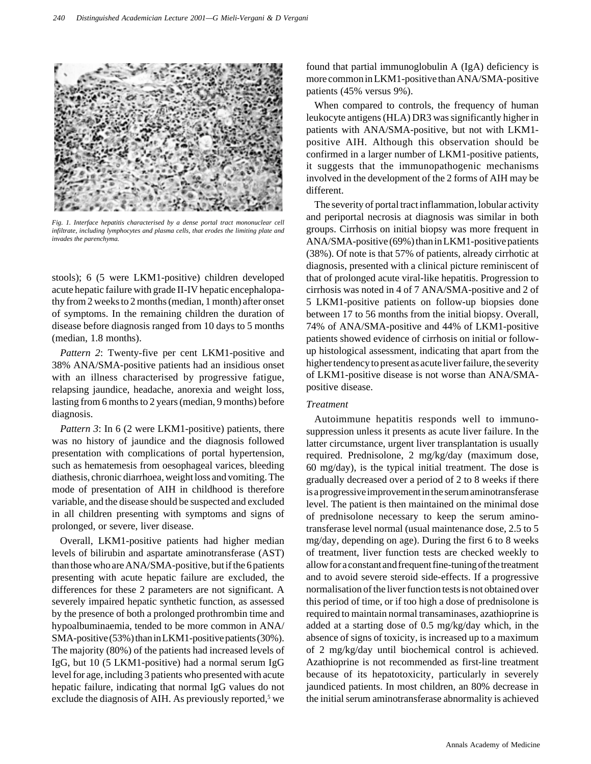

*Fig. 1. Interface hepatitis characterised by a dense portal tract mononuclear cell infiltrate, including lymphocytes and plasma cells, that erodes the limiting plate and invades the parenchyma.*

stools); 6 (5 were LKM1-positive) children developed acute hepatic failure with grade II-IV hepatic encephalopathy from 2 weeks to 2 months (median, 1 month) after onset of symptoms. In the remaining children the duration of disease before diagnosis ranged from 10 days to 5 months (median, 1.8 months).

*Pattern 2*: Twenty-five per cent LKM1-positive and 38% ANA/SMA-positive patients had an insidious onset with an illness characterised by progressive fatigue, relapsing jaundice, headache, anorexia and weight loss, lasting from 6 months to 2 years (median, 9 months) before diagnosis.

*Pattern 3*: In 6 (2 were LKM1-positive) patients, there was no history of jaundice and the diagnosis followed presentation with complications of portal hypertension, such as hematemesis from oesophageal varices, bleeding diathesis, chronic diarrhoea, weight loss and vomiting. The mode of presentation of AIH in childhood is therefore variable, and the disease should be suspected and excluded in all children presenting with symptoms and signs of prolonged, or severe, liver disease.

Overall, LKM1-positive patients had higher median levels of bilirubin and aspartate aminotransferase (AST) than those who are ANA/SMA-positive, but if the 6 patients presenting with acute hepatic failure are excluded, the differences for these 2 parameters are not significant. A severely impaired hepatic synthetic function, as assessed by the presence of both a prolonged prothrombin time and hypoalbuminaemia, tended to be more common in ANA/ SMA-positive (53%) than in LKM1-positive patients (30%). The majority (80%) of the patients had increased levels of IgG, but 10 (5 LKM1-positive) had a normal serum IgG level for age, including 3 patients who presented with acute hepatic failure, indicating that normal IgG values do not exclude the diagnosis of AIH. As previously reported,<sup>5</sup> we

found that partial immunoglobulin A (IgA) deficiency is more common in LKM1-positive than ANA/SMA-positive patients (45% versus 9%).

When compared to controls, the frequency of human leukocyte antigens (HLA) DR3 was significantly higher in patients with ANA/SMA-positive, but not with LKM1 positive AIH. Although this observation should be confirmed in a larger number of LKM1-positive patients, it suggests that the immunopathogenic mechanisms involved in the development of the 2 forms of AIH may be different.

The severity of portal tract inflammation, lobular activity and periportal necrosis at diagnosis was similar in both groups. Cirrhosis on initial biopsy was more frequent in ANA/SMA-positive (69%) than in LKM1-positive patients (38%). Of note is that 57% of patients, already cirrhotic at diagnosis, presented with a clinical picture reminiscent of that of prolonged acute viral-like hepatitis. Progression to cirrhosis was noted in 4 of 7 ANA/SMA-positive and 2 of 5 LKM1-positive patients on follow-up biopsies done between 17 to 56 months from the initial biopsy. Overall, 74% of ANA/SMA-positive and 44% of LKM1-positive patients showed evidence of cirrhosis on initial or followup histological assessment, indicating that apart from the higher tendency to present as acute liver failure, the severity of LKM1-positive disease is not worse than ANA/SMApositive disease.

### *Treatment*

Autoimmune hepatitis responds well to immunosuppression unless it presents as acute liver failure. In the latter circumstance, urgent liver transplantation is usually required. Prednisolone, 2 mg/kg/day (maximum dose, 60 mg/day), is the typical initial treatment. The dose is gradually decreased over a period of 2 to 8 weeks if there is a progressive improvement in the serum aminotransferase level. The patient is then maintained on the minimal dose of prednisolone necessary to keep the serum aminotransferase level normal (usual maintenance dose, 2.5 to 5 mg/day, depending on age). During the first 6 to 8 weeks of treatment, liver function tests are checked weekly to allow for a constant and frequent fine-tuning of the treatment and to avoid severe steroid side-effects. If a progressive normalisation of the liver function tests is not obtained over this period of time, or if too high a dose of prednisolone is required to maintain normal transaminases, azathioprine is added at a starting dose of 0.5 mg/kg/day which, in the absence of signs of toxicity, is increased up to a maximum of 2 mg/kg/day until biochemical control is achieved. Azathioprine is not recommended as first-line treatment because of its hepatotoxicity, particularly in severely jaundiced patients. In most children, an 80% decrease in the initial serum aminotransferase abnormality is achieved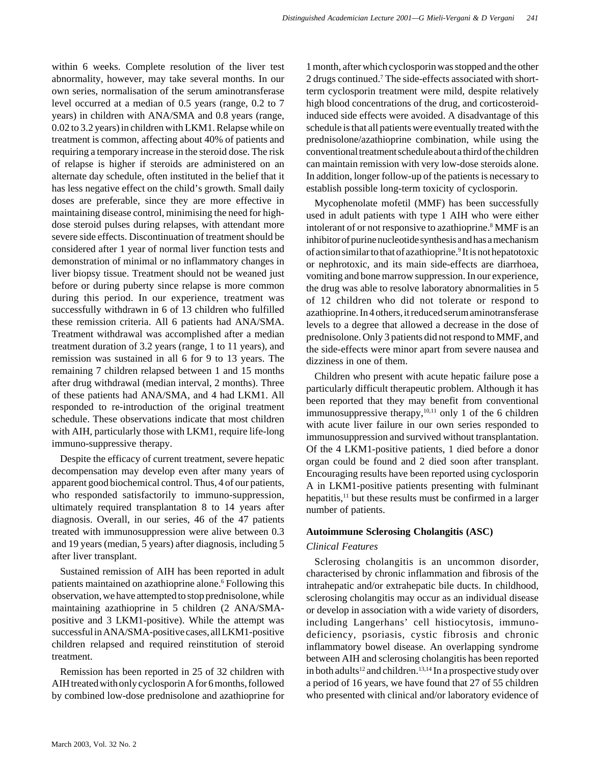within 6 weeks. Complete resolution of the liver test abnormality, however, may take several months. In our own series, normalisation of the serum aminotransferase level occurred at a median of 0.5 years (range, 0.2 to 7 years) in children with ANA/SMA and 0.8 years (range, 0.02 to 3.2 years) in children with LKM1. Relapse while on treatment is common, affecting about 40% of patients and requiring a temporary increase in the steroid dose. The risk of relapse is higher if steroids are administered on an alternate day schedule, often instituted in the belief that it has less negative effect on the child's growth. Small daily doses are preferable, since they are more effective in maintaining disease control, minimising the need for highdose steroid pulses during relapses, with attendant more severe side effects. Discontinuation of treatment should be considered after 1 year of normal liver function tests and demonstration of minimal or no inflammatory changes in liver biopsy tissue. Treatment should not be weaned just before or during puberty since relapse is more common during this period. In our experience, treatment was successfully withdrawn in 6 of 13 children who fulfilled these remission criteria. All 6 patients had ANA/SMA. Treatment withdrawal was accomplished after a median treatment duration of 3.2 years (range, 1 to 11 years), and remission was sustained in all 6 for 9 to 13 years. The remaining 7 children relapsed between 1 and 15 months after drug withdrawal (median interval, 2 months). Three of these patients had ANA/SMA, and 4 had LKM1. All responded to re-introduction of the original treatment schedule. These observations indicate that most children with AIH, particularly those with LKM1, require life-long immuno-suppressive therapy.

Despite the efficacy of current treatment, severe hepatic decompensation may develop even after many years of apparent good biochemical control. Thus, 4 of our patients, who responded satisfactorily to immuno-suppression, ultimately required transplantation 8 to 14 years after diagnosis. Overall, in our series, 46 of the 47 patients treated with immunosuppression were alive between 0.3 and 19 years (median, 5 years) after diagnosis, including 5 after liver transplant.

Sustained remission of AIH has been reported in adult patients maintained on azathioprine alone.<sup>6</sup> Following this observation, we have attempted to stop prednisolone, while maintaining azathioprine in 5 children (2 ANA/SMApositive and 3 LKM1-positive). While the attempt was successful in ANA/SMA-positive cases, all LKM1-positive children relapsed and required reinstitution of steroid treatment.

Remission has been reported in 25 of 32 children with AIH treated with only cyclosporin A for 6 months, followed by combined low-dose prednisolone and azathioprine for

1 month, after which cyclosporin was stopped and the other 2 drugs continued.<sup>7</sup> The side-effects associated with shortterm cyclosporin treatment were mild, despite relatively high blood concentrations of the drug, and corticosteroidinduced side effects were avoided. A disadvantage of this schedule is that all patients were eventually treated with the prednisolone/azathioprine combination, while using the conventional treatment schedule about a third of the children can maintain remission with very low-dose steroids alone. In addition, longer follow-up of the patients is necessary to establish possible long-term toxicity of cyclosporin.

Mycophenolate mofetil (MMF) has been successfully used in adult patients with type 1 AIH who were either intolerant of or not responsive to azathioprine.<sup>8</sup> MMF is an inhibitor of purine nucleotide synthesis and has a mechanism of action similar to that of azathioprine.<sup>9</sup> It is not hepatotoxic or nephrotoxic, and its main side-effects are diarrhoea, vomiting and bone marrow suppression. In our experience, the drug was able to resolve laboratory abnormalities in 5 of 12 children who did not tolerate or respond to azathioprine. In 4 others, it reduced serum aminotransferase levels to a degree that allowed a decrease in the dose of prednisolone. Only 3 patients did not respond to MMF, and the side-effects were minor apart from severe nausea and dizziness in one of them.

Children who present with acute hepatic failure pose a particularly difficult therapeutic problem. Although it has been reported that they may benefit from conventional immunosuppressive therapy,<sup>10,11</sup> only 1 of the 6 children with acute liver failure in our own series responded to immunosuppression and survived without transplantation. Of the 4 LKM1-positive patients, 1 died before a donor organ could be found and 2 died soon after transplant. Encouraging results have been reported using cyclosporin A in LKM1-positive patients presenting with fulminant hepatitis,<sup>11</sup> but these results must be confirmed in a larger number of patients.

# **Autoimmune Sclerosing Cholangitis (ASC)**

# *Clinical Features*

Sclerosing cholangitis is an uncommon disorder, characterised by chronic inflammation and fibrosis of the intrahepatic and/or extrahepatic bile ducts. In childhood, sclerosing cholangitis may occur as an individual disease or develop in association with a wide variety of disorders, including Langerhans' cell histiocytosis, immunodeficiency, psoriasis, cystic fibrosis and chronic inflammatory bowel disease. An overlapping syndrome between AIH and sclerosing cholangitis has been reported in both adults<sup>12</sup> and children.<sup>13,14</sup> In a prospective study over a period of 16 years, we have found that 27 of 55 children who presented with clinical and/or laboratory evidence of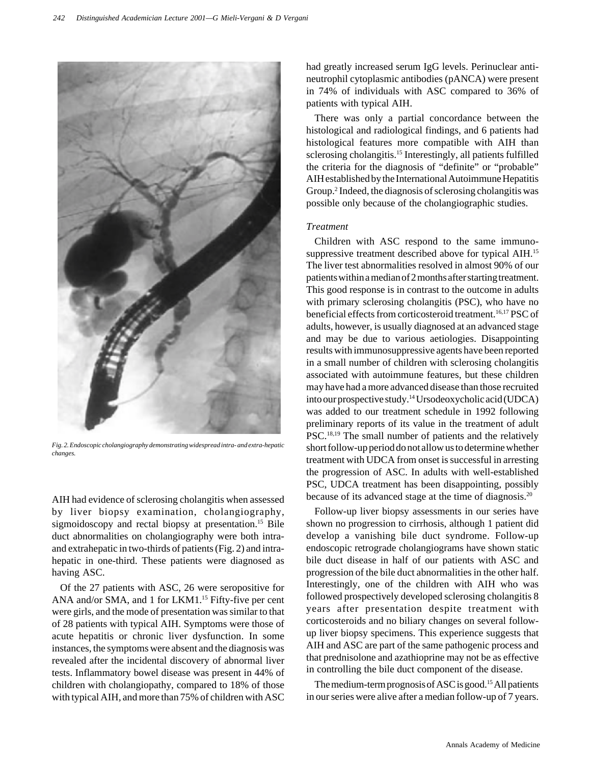

*Fig. 2. Endoscopic cholangiography demonstrating widespread intra- and extra-hepatic changes.*

AIH had evidence of sclerosing cholangitis when assessed by liver biopsy examination, cholangiography, sigmoidoscopy and rectal biopsy at presentation.<sup>15</sup> Bile duct abnormalities on cholangiography were both intraand extrahepatic in two-thirds of patients (Fig. 2) and intrahepatic in one-third. These patients were diagnosed as having ASC.

Of the 27 patients with ASC, 26 were seropositive for ANA and/or SMA, and 1 for LKM1.<sup>15</sup> Fifty-five per cent were girls, and the mode of presentation was similar to that of 28 patients with typical AIH. Symptoms were those of acute hepatitis or chronic liver dysfunction. In some instances, the symptoms were absent and the diagnosis was revealed after the incidental discovery of abnormal liver tests. Inflammatory bowel disease was present in 44% of children with cholangiopathy, compared to 18% of those with typical AIH, and more than 75% of children with ASC

had greatly increased serum IgG levels. Perinuclear antineutrophil cytoplasmic antibodies (pANCA) were present in 74% of individuals with ASC compared to 36% of patients with typical AIH.

There was only a partial concordance between the histological and radiological findings, and 6 patients had histological features more compatible with AIH than sclerosing cholangitis.<sup>15</sup> Interestingly, all patients fulfilled the criteria for the diagnosis of "definite" or "probable" AIH established by the International Autoimmune Hepatitis Group.<sup>2</sup> Indeed, the diagnosis of sclerosing cholangitis was possible only because of the cholangiographic studies.

# *Treatment*

Children with ASC respond to the same immunosuppressive treatment described above for typical AIH.<sup>15</sup> The liver test abnormalities resolved in almost 90% of our patients within a median of 2 months after starting treatment. This good response is in contrast to the outcome in adults with primary sclerosing cholangitis (PSC), who have no beneficial effects from corticosteroid treatment.<sup>16,17</sup> PSC of adults, however, is usually diagnosed at an advanced stage and may be due to various aetiologies. Disappointing results with immunosuppressive agents have been reported in a small number of children with sclerosing cholangitis associated with autoimmune features, but these children may have had a more advanced disease than those recruited into our prospective study.14 Ursodeoxycholic acid (UDCA) was added to our treatment schedule in 1992 following preliminary reports of its value in the treatment of adult PSC.<sup>18,19</sup> The small number of patients and the relatively short follow-up period do not allow us to determine whether treatment with UDCA from onset is successful in arresting the progression of ASC. In adults with well-established PSC, UDCA treatment has been disappointing, possibly because of its advanced stage at the time of diagnosis.20

Follow-up liver biopsy assessments in our series have shown no progression to cirrhosis, although 1 patient did develop a vanishing bile duct syndrome. Follow-up endoscopic retrograde cholangiograms have shown static bile duct disease in half of our patients with ASC and progression of the bile duct abnormalities in the other half. Interestingly, one of the children with AIH who was followed prospectively developed sclerosing cholangitis 8 years after presentation despite treatment with corticosteroids and no biliary changes on several followup liver biopsy specimens. This experience suggests that AIH and ASC are part of the same pathogenic process and that prednisolone and azathioprine may not be as effective in controlling the bile duct component of the disease.

The medium-term prognosis of ASC is good.<sup>15</sup> All patients in our series were alive after a median follow-up of 7 years.